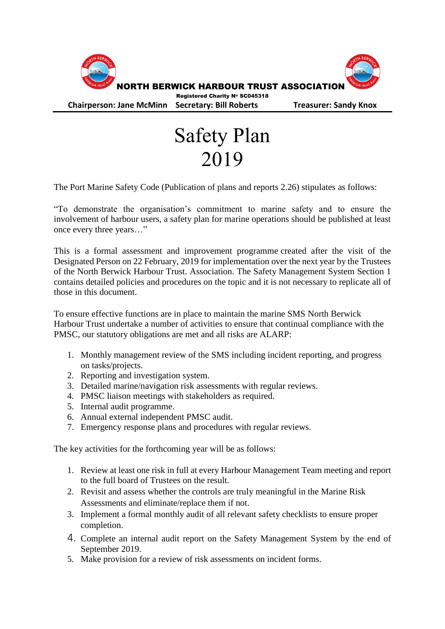

## Safety Plan 2019

The Port Marine Safety Code (Publication of plans and reports 2.26) stipulates as follows:

"To demonstrate the organisation's commitment to marine safety and to ensure the involvement of harbour users, a safety plan for marine operations should be published at least once every three years…"

This is a formal assessment and improvement programme created after the visit of the Designated Person on 22 February, 2019 for implementation over the next year by the Trustees of the North Berwick Harbour Trust. Association. The Safety Management System Section 1 contains detailed policies and procedures on the topic and it is not necessary to replicate all of those in this document.

To ensure effective functions are in place to maintain the marine SMS North Berwick Harbour Trust undertake a number of activities to ensure that continual compliance with the PMSC, our statutory obligations are met and all risks are ALARP:

- 1. Monthly management review of the SMS including incident reporting, and progress on tasks/projects.
- 2. Reporting and investigation system.
- 3. Detailed marine/navigation risk assessments with regular reviews.
- 4. PMSC liaison meetings with stakeholders as required.
- 5. Internal audit programme.
- 6. Annual external independent PMSC audit.
- 7. Emergency response plans and procedures with regular reviews.

The key activities for the forthcoming year will be as follows:

- 1. Review at least one risk in full at every Harbour Management Team meeting and report to the full board of Trustees on the result.
- 2. Revisit and assess whether the controls are truly meaningful in the Marine Risk Assessments and eliminate/replace them if not.
- 3. Implement a formal monthly audit of all relevant safety checklists to ensure proper completion.
- 4. Complete an internal audit report on the Safety Management System by the end of September 2019.
- 5. Make provision for a review of risk assessments on incident forms.